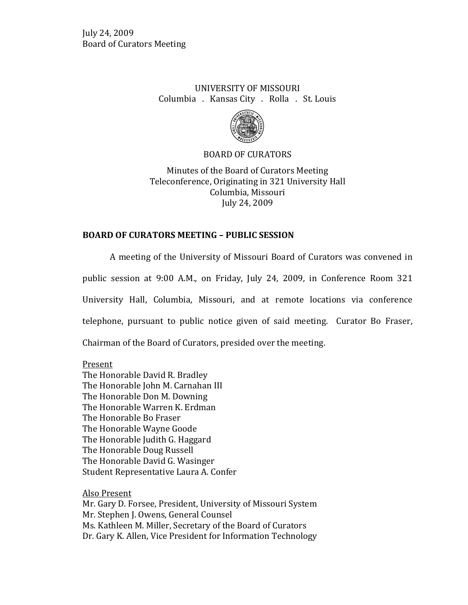## UNIVERSITY OF MISSOURI Columbia . Kansas City . Rolla . St. Louis



### BOARD OF CURATORS

Minutes of the Board of Curators Meeting Teleconference, Originating in 321 University Hall Columbia, Missouri July 24, 2009

## **BOARD OF CURATORS MEETING – PUBLIC SESSION**

A meeting of the University of Missouri Board of Curators was convened in public session at 9:00 A.M., on Friday, July 24, 2009, in Conference Room 321 University Hall, Columbia, Missouri, and at remote locations via conference telephone, pursuant to public notice given of said meeting. Curator Bo Fraser, Chairman of the Board of Curators, presided over the meeting.

Present The Honorable David R. Bradley The Honorable John M. Carnahan III The Honorable Don M. Downing The Honorable Warren K. Erdman The Honorable Bo Fraser The Honorable Wayne Goode The Honorable Judith G. Haggard The Honorable Doug Russell The Honorable David G. Wasinger Student Representative Laura A. Confer

Also Present Mr. Gary D. Forsee, President, University of Missouri System Mr. Stephen J. Owens, General Counsel Ms. Kathleen M. Miller, Secretary of the Board of Curators Dr. Gary K. Allen, Vice President for Information Technology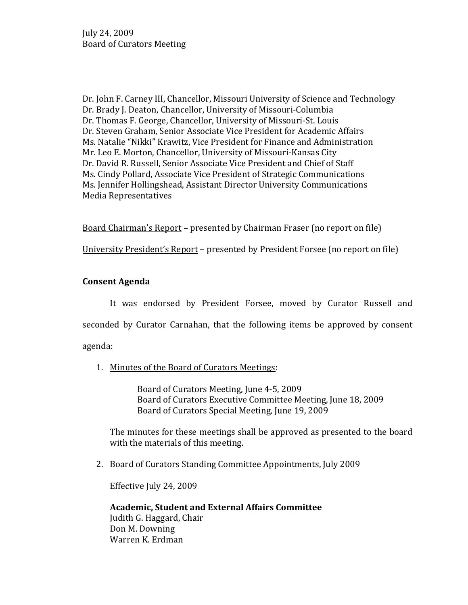Dr. John F. Carney III, Chancellor, Missouri University of Science and Technology Dr. Brady J. Deaton, Chancellor, University of Missouri-Columbia Dr. Thomas F. George, Chancellor, University of Missouri-St. Louis Dr. Steven Graham, Senior Associate Vice President for Academic Affairs Ms. Natalie "Nikki" Krawitz, Vice President for Finance and Administration Mr. Leo E. Morton, Chancellor, University of Missouri-Kansas City Dr. David R. Russell, Senior Associate Vice President and Chief of Staff Ms. Cindy Pollard, Associate Vice President of Strategic Communications Ms. Jennifer Hollingshead, Assistant Director University Communications Media Representatives

Board Chairman's Report – presented by Chairman Fraser (no report on file)

University President's Report – presented by President Forsee (no report on file)

### **Consent Agenda**

It was endorsed by President Forsee, moved by Curator Russell and seconded by Curator Carnahan, that the following items be approved by consent agenda:

1. Minutes of the Board of Curators Meetings:

Board of Curators Meeting, June 4-5, 2009 Board of Curators Executive Committee Meeting, June 18, 2009 Board of Curators Special Meeting, June 19, 2009

The minutes for these meetings shall be approved as presented to the board with the materials of this meeting.

2. Board of Curators Standing Committee Appointments, July 2009

Effective July 24, 2009

**Academic, Student and External Affairs Committee** Judith G. Haggard, Chair Don M. Downing Warren K. Erdman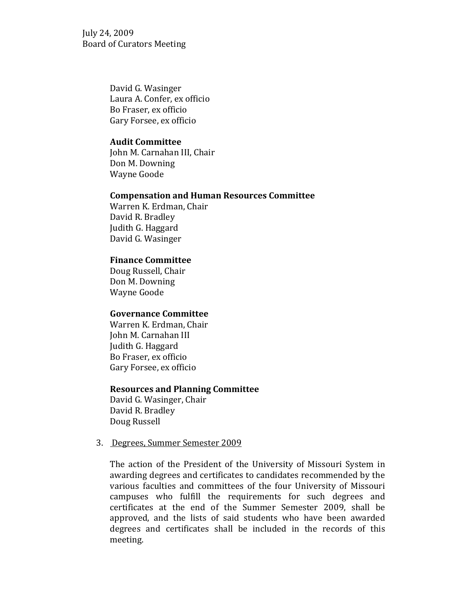> David G. Wasinger Laura A. Confer, ex officio Bo Fraser, ex officio Gary Forsee, ex officio

#### **Audit Committee**

John M. Carnahan III, Chair Don M. Downing Wayne Goode

#### **Compensation and Human Resources Committee**

Warren K. Erdman, Chair David R. Bradley Judith G. Haggard David G. Wasinger

#### **Finance Committee**

Doug Russell, Chair Don M. Downing Wayne Goode

#### **Governance Committee**

Warren K. Erdman, Chair John M. Carnahan III Judith G. Haggard Bo Fraser, ex officio Gary Forsee, ex officio

#### **Resources and Planning Committee**

David G. Wasinger, Chair David R. Bradley Doug Russell

#### 3. Degrees, Summer Semester 2009

The action of the President of the University of Missouri System in awarding degrees and certificates to candidates recommended by the various faculties and committees of the four University of Missouri campuses who fulfill the requirements for such degrees and certificates at the end of the Summer Semester 2009, shall be approved, and the lists of said students who have been awarded degrees and certificates shall be included in the records of this meeting.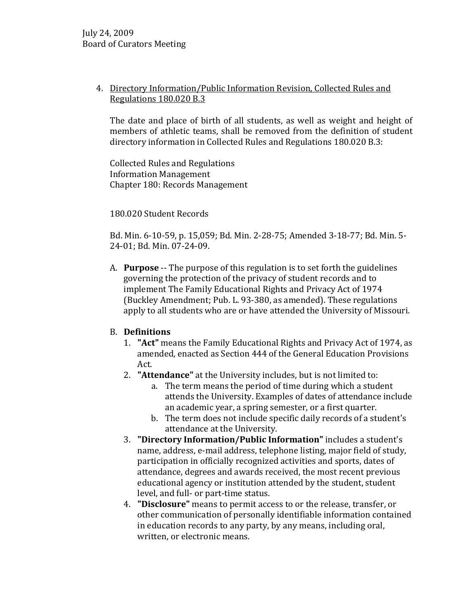## 4. Directory Information/Public Information Revision, Collected Rules and Regulations 180.020 B.3

The date and place of birth of all students, as well as weight and height of members of athletic teams, shall be removed from the definition of student directory information in Collected Rules and Regulations 180.020 B.3:

Collected Rules and Regulations Information Management Chapter 180: Records Management

## 180.020 Student Records

Bd. Min. 6-10-59, p. 15,059; Bd. Min. 2-28-75; Amended 3-18-77; Bd. Min. 5- 24-01; Bd. Min. 07-24-09.

A. **Purpose** -- The purpose of this regulation is to set forth the guidelines governing the protection of the privacy of student records and to implement The Family Educational Rights and Privacy Act of 1974 (Buckley Amendment; Pub. L. 93-380, as amended). These regulations apply to all students who are or have attended the University of Missouri.

## B. **Definitions**

- 1. **"Act"** means the Family Educational Rights and Privacy Act of 1974, as amended, enacted as Section 444 of the General Education Provisions Act.
- 2. **"Attendance"** at the University includes, but is not limited to:
	- a. The term means the period of time during which a student attends the University. Examples of dates of attendance include an academic year, a spring semester, or a first quarter.
	- b. The term does not include specific daily records of a student's attendance at the University.
- 3. **"Directory Information/Public Information"** includes a student's name, address, e-mail address, telephone listing, major field of study, participation in officially recognized activities and sports, dates of attendance, degrees and awards received, the most recent previous educational agency or institution attended by the student, student level, and full- or part-time status.
- 4. **"Disclosure"** means to permit access to or the release, transfer, or other communication of personally identifiable information contained in education records to any party, by any means, including oral, written, or electronic means.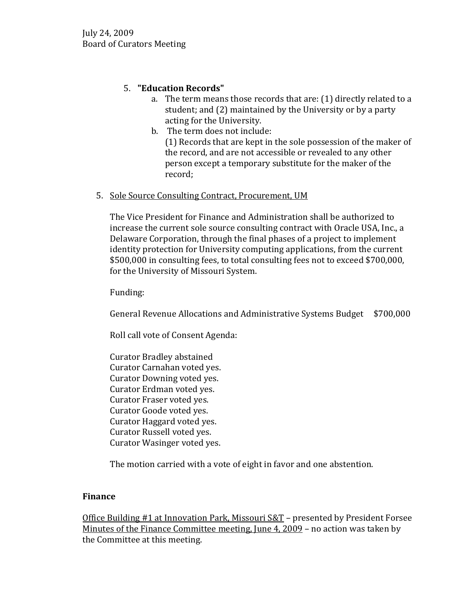# 5. **"Education Records"**

- a. The term means those records that are: (1) directly related to a student; and (2) maintained by the University or by a party acting for the University.
- b. The term does not include: (1) Records that are kept in the sole possession of the maker of the record, and are not accessible or revealed to any other person except a temporary substitute for the maker of the record;

# 5. Sole Source Consulting Contract, Procurement, UM

The Vice President for Finance and Administration shall be authorized to increase the current sole source consulting contract with Oracle USA, Inc., a Delaware Corporation, through the final phases of a project to implement identity protection for University computing applications, from the current \$500,000 in consulting fees, to total consulting fees not to exceed \$700,000, for the University of Missouri System.

Funding:

General Revenue Allocations and Administrative Systems Budget \$700,000

Roll call vote of Consent Agenda:

Curator Bradley abstained Curator Carnahan voted yes. Curator Downing voted yes. Curator Erdman voted yes. Curator Fraser voted yes. Curator Goode voted yes. Curator Haggard voted yes. Curator Russell voted yes. Curator Wasinger voted yes.

The motion carried with a vote of eight in favor and one abstention.

# **Finance**

Office Building #1 at Innovation Park, Missouri S&T – presented by President Forsee Minutes of the Finance Committee meeting, June 4, 2009 – no action was taken by the Committee at this meeting.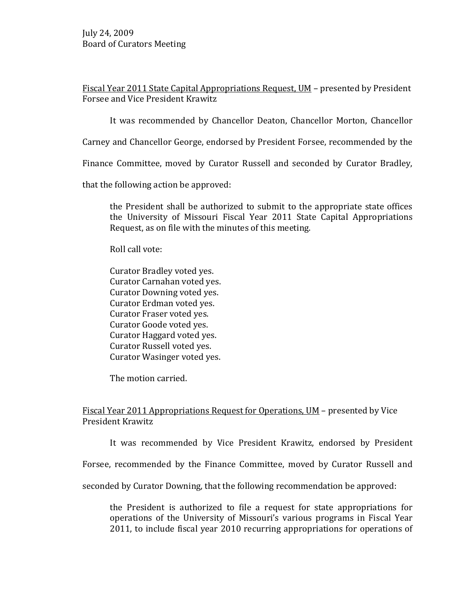Fiscal Year 2011 State Capital Appropriations Request, UM – presented by President Forsee and Vice President Krawitz

It was recommended by Chancellor Deaton, Chancellor Morton, Chancellor

Carney and Chancellor George, endorsed by President Forsee, recommended by the

Finance Committee, moved by Curator Russell and seconded by Curator Bradley,

that the following action be approved:

the President shall be authorized to submit to the appropriate state offices the University of Missouri Fiscal Year 2011 State Capital Appropriations Request, as on file with the minutes of this meeting.

Roll call vote:

Curator Bradley voted yes. Curator Carnahan voted yes. Curator Downing voted yes. Curator Erdman voted yes. Curator Fraser voted yes. Curator Goode voted yes. Curator Haggard voted yes. Curator Russell voted yes. Curator Wasinger voted yes.

The motion carried.

### Fiscal Year 2011 Appropriations Request for Operations, UM – presented by Vice President Krawitz

It was recommended by Vice President Krawitz, endorsed by President

Forsee, recommended by the Finance Committee, moved by Curator Russell and

seconded by Curator Downing, that the following recommendation be approved:

the President is authorized to file a request for state appropriations for operations of the University of Missouri's various programs in Fiscal Year 2011, to include fiscal year 2010 recurring appropriations for operations of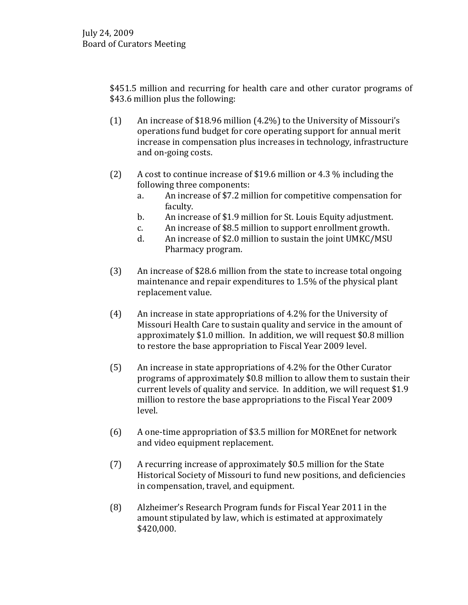\$451.5 million and recurring for health care and other curator programs of \$43.6 million plus the following:

- (1) An increase of \$18.96 million (4.2%) to the University of Missouri's operations fund budget for core operating support for annual merit increase in compensation plus increases in technology, infrastructure and on-going costs.
- (2) A cost to continue increase of \$19.6 million or 4.3 % including the following three components:
	- a. An increase of \$7.2 million for competitive compensation for faculty.
	- b. An increase of \$1.9 million for St. Louis Equity adjustment.<br>
	c. An increase of \$8.5 million to support enrollment growth.
	- c. An increase of \$8.5 million to support enrollment growth.<br>d. An increase of \$2.0 million to sustain the joint UMKC/MSU
	- An increase of \$2.0 million to sustain the joint UMKC/MSU Pharmacy program.
- (3) An increase of \$28.6 million from the state to increase total ongoing maintenance and repair expenditures to 1.5% of the physical plant replacement value.
- (4) An increase in state appropriations of 4.2% for the University of Missouri Health Care to sustain quality and service in the amount of approximately \$1.0 million. In addition, we will request \$0.8 million to restore the base appropriation to Fiscal Year 2009 level.
- (5) An increase in state appropriations of 4.2% for the Other Curator programs of approximately \$0.8 million to allow them to sustain their current levels of quality and service. In addition, we will request \$1.9 million to restore the base appropriations to the Fiscal Year 2009 level.
- (6) A one-time appropriation of \$3.5 million for MOREnet for network and video equipment replacement.
- (7) A recurring increase of approximately \$0.5 million for the State Historical Society of Missouri to fund new positions, and deficiencies in compensation, travel, and equipment.
- (8) Alzheimer's Research Program funds for Fiscal Year 2011 in the amount stipulated by law, which is estimated at approximately \$420,000.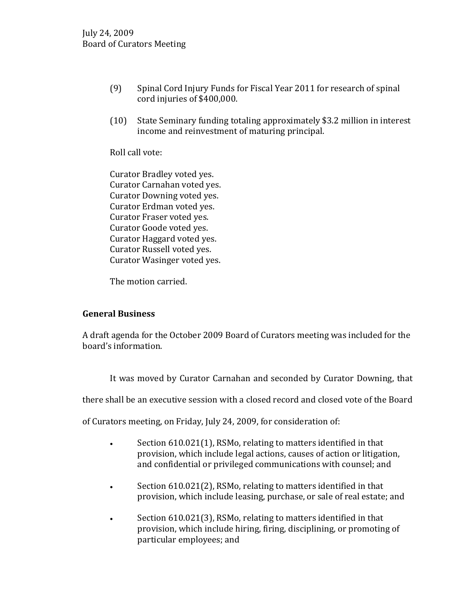- (9) Spinal Cord Injury Funds for Fiscal Year 2011 for research of spinal cord injuries of \$400,000.
- (10) State Seminary funding totaling approximately \$3.2 million in interest income and reinvestment of maturing principal.

Roll call vote:

Curator Bradley voted yes. Curator Carnahan voted yes. Curator Downing voted yes. Curator Erdman voted yes. Curator Fraser voted yes. Curator Goode voted yes. Curator Haggard voted yes. Curator Russell voted yes. Curator Wasinger voted yes.

The motion carried.

## **General Business**

A draft agenda for the October 2009 Board of Curators meeting was included for the board's information.

It was moved by Curator Carnahan and seconded by Curator Downing, that

there shall be an executive session with a closed record and closed vote of the Board

of Curators meeting, on Friday, July 24, 2009, for consideration of:

- Section 610.021(1), RSMo, relating to matters identified in that provision, which include legal actions, causes of action or litigation, and confidential or privileged communications with counsel; and
- Section 610.021(2), RSMo, relating to matters identified in that provision, which include leasing, purchase, or sale of real estate; and
- Section 610.021(3), RSMo, relating to matters identified in that provision, which include hiring, firing, disciplining, or promoting of particular employees; and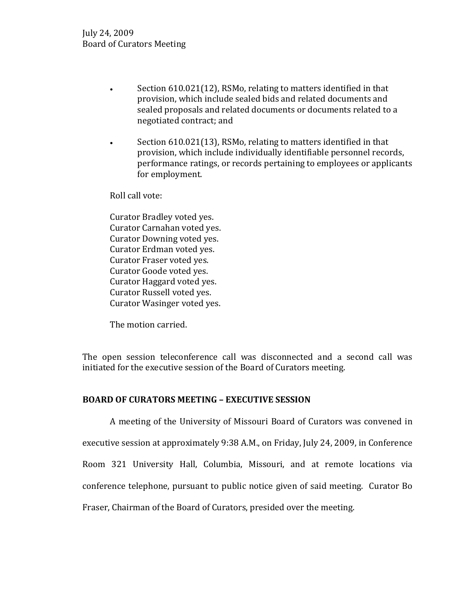- Section 610.021(12), RSMo, relating to matters identified in that provision, which include sealed bids and related documents and sealed proposals and related documents or documents related to a negotiated contract; and
- Section 610.021(13), RSMo, relating to matters identified in that provision, which include individually identifiable personnel records, performance ratings, or records pertaining to employees or applicants for employment.

Roll call vote:

Curator Bradley voted yes. Curator Carnahan voted yes. Curator Downing voted yes. Curator Erdman voted yes. Curator Fraser voted yes. Curator Goode voted yes. Curator Haggard voted yes. Curator Russell voted yes. Curator Wasinger voted yes.

The motion carried.

The open session teleconference call was disconnected and a second call was initiated for the executive session of the Board of Curators meeting.

## **BOARD OF CURATORS MEETING – EXECUTIVE SESSION**

A meeting of the University of Missouri Board of Curators was convened in executive session at approximately 9:38 A.M., on Friday, July 24, 2009, in Conference Room 321 University Hall, Columbia, Missouri, and at remote locations via conference telephone, pursuant to public notice given of said meeting. Curator Bo Fraser, Chairman of the Board of Curators, presided over the meeting.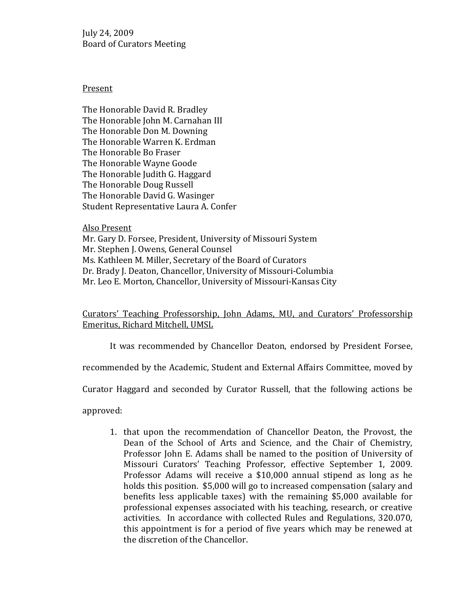#### Present

The Honorable David R. Bradley The Honorable John M. Carnahan III The Honorable Don M. Downing The Honorable Warren K. Erdman The Honorable Bo Fraser The Honorable Wayne Goode The Honorable Judith G. Haggard The Honorable Doug Russell The Honorable David G. Wasinger Student Representative Laura A. Confer

Also Present

Mr. Gary D. Forsee, President, University of Missouri System Mr. Stephen J. Owens, General Counsel Ms. Kathleen M. Miller, Secretary of the Board of Curators Dr. Brady J. Deaton, Chancellor, University of Missouri-Columbia Mr. Leo E. Morton, Chancellor, University of Missouri-Kansas City

Curators' Teaching Professorship, John Adams, MU, and Curators' Professorship Emeritus, Richard Mitchell, UMSL

It was recommended by Chancellor Deaton, endorsed by President Forsee,

recommended by the Academic, Student and External Affairs Committee, moved by

Curator Haggard and seconded by Curator Russell, that the following actions be

approved:

1. that upon the recommendation of Chancellor Deaton, the Provost, the Dean of the School of Arts and Science, and the Chair of Chemistry, Professor John E. Adams shall be named to the position of University of Missouri Curators' Teaching Professor, effective September 1, 2009. Professor Adams will receive a \$10,000 annual stipend as long as he holds this position. \$5,000 will go to increased compensation (salary and benefits less applicable taxes) with the remaining \$5,000 available for professional expenses associated with his teaching, research, or creative activities. In accordance with collected Rules and Regulations, 320.070, this appointment is for a period of five years which may be renewed at the discretion of the Chancellor.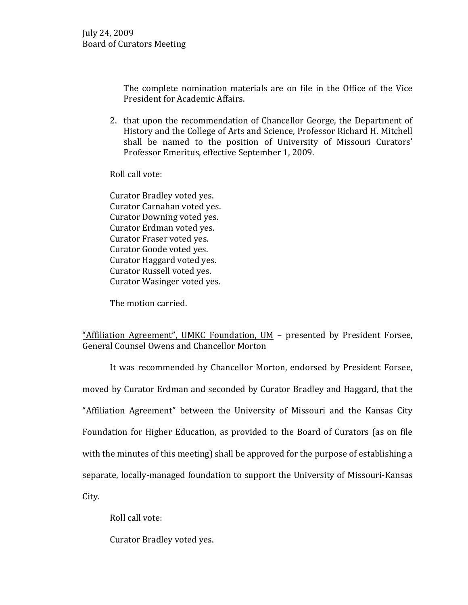The complete nomination materials are on file in the Office of the Vice President for Academic Affairs.

2. that upon the recommendation of Chancellor George, the Department of History and the College of Arts and Science, Professor Richard H. Mitchell shall be named to the position of University of Missouri Curators' Professor Emeritus, effective September 1, 2009.

Roll call vote:

Curator Bradley voted yes. Curator Carnahan voted yes. Curator Downing voted yes. Curator Erdman voted yes. Curator Fraser voted yes. Curator Goode voted yes. Curator Haggard voted yes. Curator Russell voted yes. Curator Wasinger voted yes.

The motion carried.

## "Affiliation Agreement", UMKC Foundation, UM – presented by President Forsee, General Counsel Owens and Chancellor Morton

It was recommended by Chancellor Morton, endorsed by President Forsee, moved by Curator Erdman and seconded by Curator Bradley and Haggard, that the "Affiliation Agreement" between the University of Missouri and the Kansas City Foundation for Higher Education, as provided to the Board of Curators (as on file with the minutes of this meeting) shall be approved for the purpose of establishing a separate, locally-managed foundation to support the University of Missouri-Kansas City.

Roll call vote:

Curator Bradley voted yes.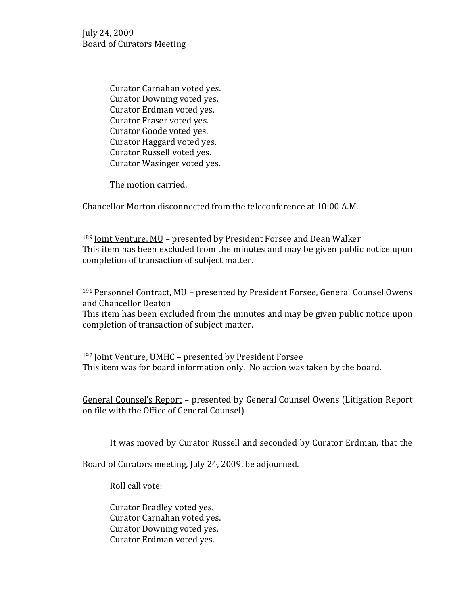> Curator Carnahan voted yes. Curator Downing voted yes. Curator Erdman voted yes. Curator Fraser voted yes. Curator Goode voted yes. Curator Haggard voted yes. Curator Russell voted yes. Curator Wasinger voted yes.

The motion carried.

Chancellor Morton disconnected from the teleconference at 10:00 A.M.

<sup>189</sup> Joint Venture, MU - presented by President Forsee and Dean Walker This item has been excluded from the minutes and may be given public notice upon completion of transaction of subject matter.

191 Personnel Contract, MU - presented by President Forsee, General Counsel Owens and Chancellor Deaton This item has been excluded from the minutes and may be given public notice upon completion of transaction of subject matter.

192 Joint Venture, UMHC - presented by President Forsee This item was for board information only. No action was taken by the board.

General Counsel's Report – presented by General Counsel Owens (Litigation Report on file with the Office of General Counsel)

It was moved by Curator Russell and seconded by Curator Erdman, that the

Board of Curators meeting, July 24, 2009, be adjourned.

Roll call vote:

Curator Bradley voted yes. Curator Carnahan voted yes. Curator Downing voted yes. Curator Erdman voted yes.